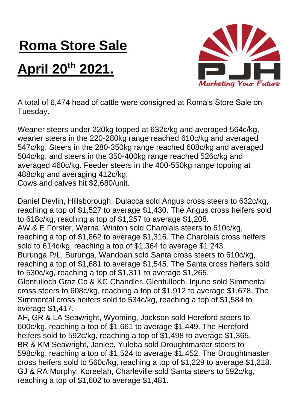## **Roma Store Sale**

## **April 20th 2021.**



A total of 6,474 head of cattle were consigned at Roma's Store Sale on Tuesday.

Weaner steers under 220kg topped at 632c/kg and averaged 564c/kg, weaner steers in the 220-280kg range reached 610c/kg and averaged 547c/kg. Steers in the 280-350kg range reached 608c/kg and averaged 504c/kg, and steers in the 350-400kg range reached 526c/kg and averaged 460c/kg. Feeder steers in the 400-550kg range topping at 488c/kg and averaging 412c/kg.

Cows and calves hit \$2,680/unit.

Daniel Devlin, Hillsborough, Dulacca sold Angus cross steers to 632c/kg, reaching a top of \$1,527 to average \$1,430. The Angus cross heifers sold to 618c/kg, reaching a top of \$1,257 to average \$1,208. AW & E Forster, Werna, Winton sold Charolais steers to 610c/kg,

reaching a top of \$1,862 to average \$1,316. The Charolais cross heifers sold to 614c/kg, reaching a top of \$1,364 to average \$1,243.

Burunga P/L, Burunga, Wandoan sold Santa cross steers to 610c/kg, reaching a top of \$1,681 to average \$1,545. The Santa cross heifers sold to 530c/kg, reaching a top of \$1,311 to average \$1,265.

Glentulloch Graz Co & KC Chandler, Glentulloch, Injune sold Simmental cross steers to 608c/kg, reaching a top of \$1,912 to average \$1,678. The Simmental cross heifers sold to 534c/kg, reaching a top of \$1,584 to average \$1,417.

AF, GR & LA Seawright, Wyoming, Jackson sold Hereford steers to 600c/kg, reaching a top of \$1,661 to average \$1,449. The Hereford heifers sold to 592c/kg, reaching a top of \$1,498 to average \$1,365. BR & KM Seawright, Janlee, Yuleba sold Droughtmaster steers to 598c/kg, reaching a top of \$1,524 to average \$1,452. The Droughtmaster cross heifers sold to 560c/kg, reaching a top of \$1,229 to average \$1,218. GJ & RA Murphy, Koreelah, Charleville sold Santa steers to 592c/kg, reaching a top of \$1,602 to average \$1,481.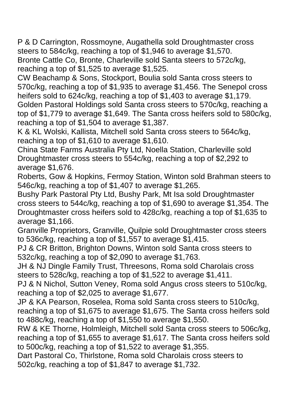P & D Carrington, Rossmoyne, Augathella sold Droughtmaster cross steers to 584c/kg, reaching a top of \$1,946 to average \$1,570. Bronte Cattle Co, Bronte, Charleville sold Santa steers to 572c/kg, reaching a top of \$1,525 to average \$1,525.

CW Beachamp & Sons, Stockport, Boulia sold Santa cross steers to 570c/kg, reaching a top of \$1,935 to average \$1,456. The Senepol cross heifers sold to 624c/kg, reaching a top of \$1,403 to average \$1,179. Golden Pastoral Holdings sold Santa cross steers to 570c/kg, reaching a top of \$1,779 to average \$1,649. The Santa cross heifers sold to 580c/kg, reaching a top of \$1,504 to average \$1,387.

K & KL Wolski, Kallista, Mitchell sold Santa cross steers to 564c/kg, reaching a top of \$1,610 to average \$1,610.

China State Farms Australia Pty Ltd, Noella Station, Charleville sold Droughtmaster cross steers to 554c/kg, reaching a top of \$2,292 to average \$1,676.

Roberts, Gow & Hopkins, Fermoy Station, Winton sold Brahman steers to 546c/kg, reaching a top of \$1,407 to average \$1,265.

Bushy Park Pastoral Pty Ltd, Bushy Park, Mt Isa sold Droughtmaster cross steers to 544c/kg, reaching a top of \$1,690 to average \$1,354. The Droughtmaster cross heifers sold to 428c/kg, reaching a top of \$1,635 to average \$1,166.

Granville Proprietors, Granville, Quilpie sold Droughtmaster cross steers to 536c/kg, reaching a top of \$1,557 to average \$1,415.

PJ & CR Britton, Brighton Downs, Winton sold Santa cross steers to 532c/kg, reaching a top of \$2,090 to average \$1,763.

JH & NJ Dingle Family Trust, Threesons, Roma sold Charolais cross steers to 528c/kg, reaching a top of \$1,522 to average \$1,411.

PJ & N Nichol, Sutton Veney, Roma sold Angus cross steers to 510c/kg, reaching a top of \$2,025 to average \$1,677.

JP & KA Pearson, Roselea, Roma sold Santa cross steers to 510c/kg, reaching a top of \$1,675 to average \$1,675. The Santa cross heifers sold to 488c/kg, reaching a top of \$1,550 to average \$1,550.

RW & KE Thorne, Holmleigh, Mitchell sold Santa cross steers to 506c/kg, reaching a top of \$1,655 to average \$1,617. The Santa cross heifers sold to 500c/kg, reaching a top of \$1,522 to average \$1,355.

Dart Pastoral Co, Thirlstone, Roma sold Charolais cross steers to 502c/kg, reaching a top of \$1,847 to average \$1,732.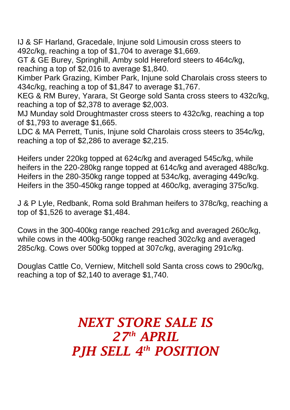IJ & SF Harland, Gracedale, Injune sold Limousin cross steers to 492c/kg, reaching a top of \$1,704 to average \$1,669.

GT & GE Burey, Springhill, Amby sold Hereford steers to 464c/kg, reaching a top of \$2,016 to average \$1,840.

Kimber Park Grazing, Kimber Park, Injune sold Charolais cross steers to 434c/kg, reaching a top of \$1,847 to average \$1,767.

KEG & RM Burey, Yarara, St George sold Santa cross steers to 432c/kg, reaching a top of \$2,378 to average \$2,003.

MJ Munday sold Droughtmaster cross steers to 432c/kg, reaching a top of \$1,793 to average \$1,665.

LDC & MA Perrett, Tunis, Injune sold Charolais cross steers to 354c/kg, reaching a top of \$2,286 to average \$2,215.

Heifers under 220kg topped at 624c/kg and averaged 545c/kg, while heifers in the 220-280kg range topped at 614c/kg and averaged 488c/kg. Heifers in the 280-350kg range topped at 534c/kg, averaging 449c/kg. Heifers in the 350-450kg range topped at 460c/kg, averaging 375c/kg.

J & P Lyle, Redbank, Roma sold Brahman heifers to 378c/kg, reaching a top of \$1,526 to average \$1,484.

Cows in the 300-400kg range reached 291c/kg and averaged 260c/kg, while cows in the 400kg-500kg range reached 302c/kg and averaged 285c/kg. Cows over 500kg topped at 307c/kg, averaging 291c/kg.

Douglas Cattle Co, Verniew, Mitchell sold Santa cross cows to 290c/kg, reaching a top of \$2,140 to average \$1,740.

## *NEXT STORE SALE IS 27 th APRIL PJH SELL 4 th POSITION*